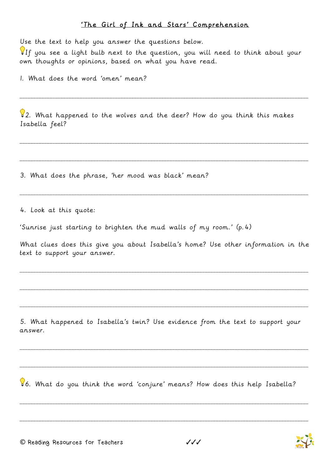## 'The Girl of Ink and Stars' Comprehension

Use the text to help you answer the questions below.

 $\P$ If you see a light bulb next to the question, you will need to think about your own thoughts or opinions, based on what you have read.

1. What does the word 'omen' mean?

 $\sqrt{2}$ . What happened to the wolves and the deer? How do you think this makes Isabella feel?

\_\_\_\_\_\_\_\_\_\_\_\_\_\_\_\_\_\_\_\_\_\_\_\_\_\_\_\_\_\_\_\_\_\_\_\_\_\_\_\_\_\_\_\_\_\_\_\_\_\_\_\_\_\_\_\_\_\_\_\_\_\_\_\_\_\_\_\_\_\_\_\_\_\_\_\_\_\_\_\_\_\_\_\_\_\_\_\_\_\_\_\_\_\_\_\_\_\_\_\_\_\_\_\_\_\_

\_\_\_\_\_\_\_\_\_\_\_\_\_\_\_\_\_\_\_\_\_\_\_\_\_\_\_\_\_\_\_\_\_\_\_\_\_\_\_\_\_\_\_\_\_\_\_\_\_\_\_\_\_\_\_\_\_\_\_\_\_\_\_\_\_\_\_\_\_\_\_\_\_\_\_\_\_\_\_\_\_\_\_\_\_\_\_\_\_\_\_\_\_\_\_\_\_\_\_\_\_\_\_\_\_\_

\_\_\_\_\_\_\_\_\_\_\_\_\_\_\_\_\_\_\_\_\_\_\_\_\_\_\_\_\_\_\_\_\_\_\_\_\_\_\_\_\_\_\_\_\_\_\_\_\_\_\_\_\_\_\_\_\_\_\_\_\_\_\_\_\_\_\_\_\_\_\_\_\_\_\_\_\_\_\_\_\_\_\_\_\_\_\_\_\_\_\_\_\_\_\_\_\_\_\_\_\_\_\_\_\_\_

\_\_\_\_\_\_\_\_\_\_\_\_\_\_\_\_\_\_\_\_\_\_\_\_\_\_\_\_\_\_\_\_\_\_\_\_\_\_\_\_\_\_\_\_\_\_\_\_\_\_\_\_\_\_\_\_\_\_\_\_\_\_\_\_\_\_\_\_\_\_\_\_\_\_\_\_\_\_\_\_\_\_\_\_\_\_\_\_\_\_\_\_\_\_\_\_\_\_\_\_\_\_\_\_\_\_

3. What does the phrase, 'her mood was black' mean?

4. Look at this quote:

'Sunrise just starting to brighten the mud walls of my room.' (p.4)

What clues does this give you about Isabella's home? Use other information in the text to support your answer.

\_\_\_\_\_\_\_\_\_\_\_\_\_\_\_\_\_\_\_\_\_\_\_\_\_\_\_\_\_\_\_\_\_\_\_\_\_\_\_\_\_\_\_\_\_\_\_\_\_\_\_\_\_\_\_\_\_\_\_\_\_\_\_\_\_\_\_\_\_\_\_\_\_\_\_\_\_\_\_\_\_\_\_\_\_\_\_\_\_\_\_\_\_\_\_\_\_\_\_\_\_\_\_\_\_\_

\_\_\_\_\_\_\_\_\_\_\_\_\_\_\_\_\_\_\_\_\_\_\_\_\_\_\_\_\_\_\_\_\_\_\_\_\_\_\_\_\_\_\_\_\_\_\_\_\_\_\_\_\_\_\_\_\_\_\_\_\_\_\_\_\_\_\_\_\_\_\_\_\_\_\_\_\_\_\_\_\_\_\_\_\_\_\_\_\_\_\_\_\_\_\_\_\_\_\_\_\_\_\_\_\_\_

\_\_\_\_\_\_\_\_\_\_\_\_\_\_\_\_\_\_\_\_\_\_\_\_\_\_\_\_\_\_\_\_\_\_\_\_\_\_\_\_\_\_\_\_\_\_\_\_\_\_\_\_\_\_\_\_\_\_\_\_\_\_\_\_\_\_\_\_\_\_\_\_\_\_\_\_\_\_\_\_\_\_\_\_\_\_\_\_\_\_\_\_\_\_\_\_\_\_\_\_\_\_\_\_\_\_

5. What happened to Isabella's twin? Use evidence from the text to support your answer.

\_\_\_\_\_\_\_\_\_\_\_\_\_\_\_\_\_\_\_\_\_\_\_\_\_\_\_\_\_\_\_\_\_\_\_\_\_\_\_\_\_\_\_\_\_\_\_\_\_\_\_\_\_\_\_\_\_\_\_\_\_\_\_\_\_\_\_\_\_\_\_\_\_\_\_\_\_\_\_\_\_\_\_\_\_\_\_\_\_\_\_\_\_\_\_\_\_\_\_\_\_\_\_\_\_\_

\_\_\_\_\_\_\_\_\_\_\_\_\_\_\_\_\_\_\_\_\_\_\_\_\_\_\_\_\_\_\_\_\_\_\_\_\_\_\_\_\_\_\_\_\_\_\_\_\_\_\_\_\_\_\_\_\_\_\_\_\_\_\_\_\_\_\_\_\_\_\_\_\_\_\_\_\_\_\_\_\_\_\_\_\_\_\_\_\_\_\_\_\_\_\_\_\_\_\_\_\_\_\_\_\_\_

\_\_\_\_\_\_\_\_\_\_\_\_\_\_\_\_\_\_\_\_\_\_\_\_\_\_\_\_\_\_\_\_\_\_\_\_\_\_\_\_\_\_\_\_\_\_\_\_\_\_\_\_\_\_\_\_\_\_\_\_\_\_\_\_\_\_\_\_\_\_\_\_\_\_\_\_\_\_\_\_\_\_\_\_\_\_\_\_\_\_\_\_\_\_\_\_\_\_\_\_\_\_\_\_\_\_

\_\_\_\_\_\_\_\_\_\_\_\_\_\_\_\_\_\_\_\_\_\_\_\_\_\_\_\_\_\_\_\_\_\_\_\_\_\_\_\_\_\_\_\_\_\_\_\_\_\_\_\_\_\_\_\_\_\_\_\_\_\_\_\_\_\_\_\_\_\_\_\_\_\_\_\_\_\_\_\_\_\_\_\_\_\_\_\_\_\_\_\_\_\_\_\_\_\_\_\_\_\_\_\_\_\_

6. What do you think the word 'conjure' means? How does this help Isabella?